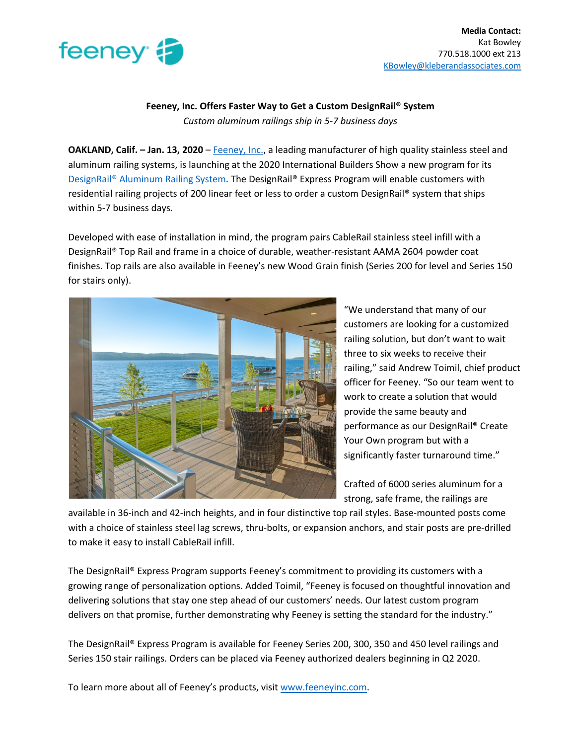

**Media Contact:** Kat Bowley 770.518.1000 ext 213 KBowley@kleberandassociates.com

## **Feeney, Inc. Offers Faster Way to Get a Custom DesignRail® System** *Custom aluminum railings ship in 5-7 business days*

**OAKLAND, Calif. – Jan. 13, 2020** – Feeney, Inc., a leading manufacturer of high quality stainless steel and aluminum railing systems, is launching at the 2020 International Builders Show a new program for its DesignRail® Aluminum Railing System. The DesignRail® Express Program will enable customers with residential railing projects of 200 linear feet or less to order a custom DesignRail® system that ships within 5-7 business days.

Developed with ease of installation in mind, the program pairs CableRail stainless steel infill with a DesignRail® Top Rail and frame in a choice of durable, weather-resistant AAMA 2604 powder coat finishes. Top rails are also available in Feeney's new Wood Grain finish (Series 200 for level and Series 150 for stairs only).



"We understand that many of our customers are looking for a customized railing solution, but don't want to wait three to six weeks to receive their railing," said Andrew Toimil, chief product officer for Feeney. "So our team went to work to create a solution that would provide the same beauty and performance as our DesignRail® Create Your Own program but with a significantly faster turnaround time."

Crafted of 6000 series aluminum for a strong, safe frame, the railings are

available in 36-inch and 42-inch heights, and in four distinctive top rail styles. Base-mounted posts come with a choice of stainless steel lag screws, thru-bolts, or expansion anchors, and stair posts are pre-drilled to make it easy to install CableRail infill.

The DesignRail® Express Program supports Feeney's commitment to providing its customers with a growing range of personalization options. Added Toimil, "Feeney is focused on thoughtful innovation and delivering solutions that stay one step ahead of our customers' needs. Our latest custom program delivers on that promise, further demonstrating why Feeney is setting the standard for the industry."

The DesignRail® Express Program is available for Feeney Series 200, 300, 350 and 450 level railings and Series 150 stair railings. Orders can be placed via Feeney authorized dealers beginning in Q2 2020.

To learn more about all of Feeney's products, visit www.feeneyinc.com.